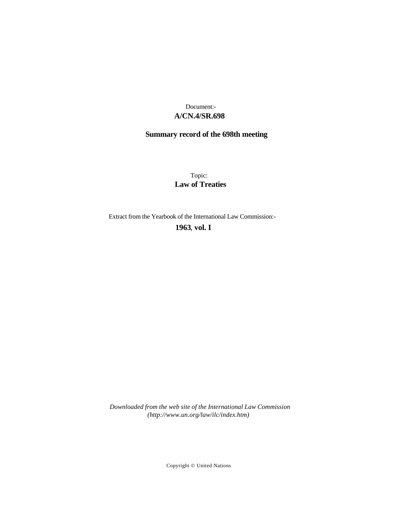### **A/CN.4/SR.698** Document:-

# **Summary record of the 698th meeting**

Topic: **Law of Treaties**

Extract from the Yearbook of the International Law Commission:-

**1963** , **vol. I**

*Downloaded from the web site of the International Law Commission (http://www.un.org/law/ilc/index.htm)*

Copyright © United Nations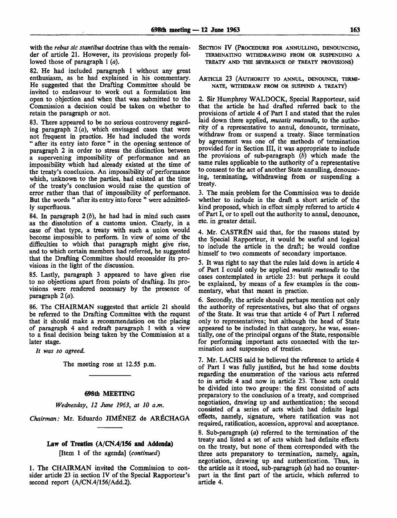with the *rebus sic stantibus* doctrine than with the remainder of article 21. However, its provisions properly followed those of paragraph 1 *(a).*

82. He had included paragraph 1 without any great enthusiasm, as he had explained in his commentary. He suggested that the Drafting Committee should be invited to endeavour to work out a formulation less open to objection and when that was submitted to the Commission a decision could be taken on whether to retain the paragraph or not.

83. There appeared to be no serious controversy regarding paragraph  $2(a)$ , which envisaged cases that were not frequent in practice. He had included the words " after its entry into force " in the opening sentence of paragraph 2 in order to stress the distinction between a supervening impossibility of performance and an impossibility which had already existed at the time of the treaty's conclusion. An impossibility of performance which, unknown to the parties, had existed at the time of the treaty's conclusion would raise the question of error rather than that of impossibility of performance. But the words " after its entry into force " were admittedly superfluous.

84. In paragraph *2(b),* he had had in mind such cases as the dissolution of a customs union. Clearly, in a case of that type, a treaty with such a union would become impossible to perform. In view of some of the difficulties to which that paragraph might give rise, and to which certain members had referred, he suggested that the Drafting Committee should reconsider its provisions in the light of the discussion.

85. Lastly, paragraph 3 appeared to have given rise to no objections apart from points of drafting. Its provisions were rendered necessary by the presence of paragraph 2 *(a).*

86. The CHAIRMAN suggested that article 21 should be referred to the Drafting Committee with the request that it should make a recommendation on the placing of paragraph 4 and redraft paragraph 1 with a view to a final decision being taken by the Commission at a later stage.

*It was so agreed.*

The meeting rose at 12.55 p.m.

#### **698th MEETING**

*Wednesday, 12 June 1963, at 10 a.m.*

*Chairman:* Mr. Eduardo JIMENEZ de AR^CHAGA

### **Law of Treaties (A/CN.4/156 and Addenda)**

[Item 1 of the agenda] *{continued)*

1. The CHAIRMAN invited the Commission to consider article 23 in section IV of the Special Rapporteur's second report (A/CN.4/156/Add.2).

- SECTION IV (PROCEDURE FOR ANNULLING, DENOUNCING, TERMINATING WITHDRAWING FROM OR SUSPENDING A TREATY AND THE SEVERANCE OF TREATY PROVISIONS)
- ARTICLE 23 (AUTHORITY TO ANNUL, DENOUNCE, TERMI-NATE, WITHDRAW FROM OR SUSPEND A TREATY)

2. Sir Humphrey WALDOCK, Special Rapporteur, said that the article he had drafted referred back to the provisions of article 4 of Part I and stated that the rules laid down there applied, *mutatis mutandis,* to the authority of a representative to annul, denounce, terminate, withdraw from or suspend a treaty. Since termination by agreement was one of the methods of termination provided for in Section III, it was appropriate to include the provisions of sub-paragraph *(b)* which made the same rules applicable to the authority of a representative to consent to the act of another State annulling, denouncing, terminating, withdrawing from or suspending a treaty.

3. The main problem for the Commission was to decide whether to include in the draft a short article of the kind proposed, which in effect simply referred to article 4 of Part I, or to spell out the authority to annul, denounce, etc. in greater detail.

4. Mr. CASTRÉN said that, for the reasons stated by the Special Rapporteur, it would be useful and logical to include the article in the draft; he would confine himself to two comments of secondary importance.

5. It was right to say that the rules laid down in article 4 of Part I could only be applied *mutatis mutandis* to the cases contemplated in article 23: but perhaps it could be explained, by means of a few examples in the commentary, what that meant in practice.

6. Secondly, the article should perhaps mention not only the authority of representatives, but also that of organs of the State. It was true that article 4 of Part I referred only to representatives; but although the head of State appeared to be included in that category, he was, essentially, one of the principal organs of the State, responsible for performing important acts connected with the termination and suspension of treaties.

7. Mr. LACHS said he believed the reference to article 4 of Part I was fully justified, but he had some doubts regarding the enumeration of the various acts referred to in article 4 and now in article 23. Those acts could be divided into two groups: the first consisted of acts preparatory to the conclusion of a treaty, and comprised negotiation, drawing up and authentication; the second consisted of a series of acts which had definite legal effects, namely, signature, where ratification was not required, ratification, accession, approval and acceptance.

8. Sub-paragraph *(a)* referred to the termination of the treaty and listed a set of acts which had definite effects on the treaty, but none of them corresponded with the three acts preparatory to termination, namely, again, negotiation, drawing up and authentication. Thus, in the article as it stood, sub-paragraph *(a)* had no counterpart in the first part of the article, which referred to article 4.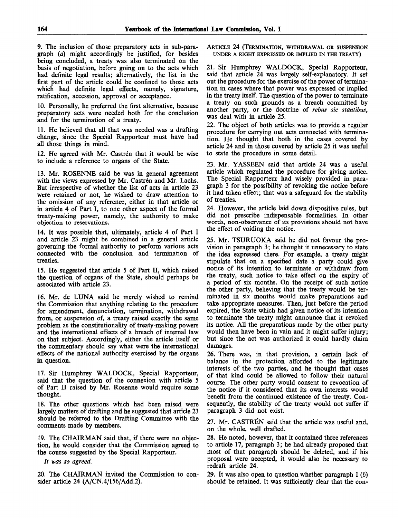9. The inclusion of those preparatory acts in sub-paragraph *(a)* might accordingly be justified, for besides being concluded, a treaty was also terminated on the basis of negotiation, before going on to the acts which had definite legal results; alternatively, the list in the first part of the article could be confined to those acts which had definite legal effects, namely, signature, ratification, accession, approval or acceptance.

10. Personally, he preferred the first alternative, because preparatory acts were needed both for the conclusion and for the termination of a treaty.

11. He believed that all that was needed was a drafting change, since the Special Rapporteur must have had all those things in mind.

12. He agreed with Mr. Castrén that it would be wise to include a reference to organs of the State.

13. Mr. ROSENNE said he was in general agreement with the views expressed by Mr. Castren and Mr. Lachs. But irrespective of whether the list of acts in article 23 were retained or not, he wished to draw attention to the omission of any reference, either in that article or in article 4 of Part I, to one other aspect of the formal treaty-making power, namely, the authority to make objection to reservations.

14. It was possible that, ultimately, article 4 of Part I and article 23 might be combined in a general article governing the formal authority to perform various acts connected with the conclusion and termination of treaties.

15. He suggested that article 5 of Part II, which raised the question of organs of the State, should perhaps be associated with article 23.

16. Mr. de LUNA said he merely wished to remind the Commission that anything relating to the procedure for amendment, denunciation, termination, withdrawal from, or suspension of, a treaty raised exactly the same problem as the constitutionality of treaty-making powers and the international effects of a breach of internal law on that subject. Accordingly, either the article itself or the commentary should say what were the international effects of the national authority exercised by the organs in question.

17. Sir Humphrey WALDOCK, Special Rapporteur, said that the question of the connexion with article 5 of Part II raised by Mr. Rosenne would require some thought.

18. The other questions which had been raised were largely matters of drafting and he suggested that article 23 should be referred to the Drafting Committee with the comments made by members.

19. The CHAIRMAN said that, if there were no objection, he would consider that the Commission agreed to the course suggested by the Special Rapporteur.

*It was so agreed.*

20. The CHAIRMAN invited the Commission to consider article 24 (A/CN.4/156/Add.2).

ARTICLE 24 (TERMINATION, WITHDRAWAL OR SUSPENSION UNDER A RIGHT EXPRESSED OR IMPLIED IN THE TREATY)

21. Sir Humphrey WALDOCK, Special Rapporteur, said that article 24 was largely self-explanatory. It set out the procedure for the exercise of the power of termination in cases where that power was expressed or implied in the treaty itself. The question of the power to terminate a treaty on such grounds as a breach committed by another party, or the doctrine of *rebus sic stantibus,* was deal with in article 25.

22. The object of both articles was to provide a regular procedure for carrying out acts connected with termination. He thought that both in the cases covered by article 24 and in those covered by article 25 it was useful to state the procedure in some detail.

23. Mr. YASSEEN said that article 24 was a useful article which regulated the procedure for giving notice. The Special Rapporteur had wisely provided in paragraph 3 for the possibility of revoking the notice before it had taken effect; that was a safeguard for the stability of treaties.

24. However, the article laid down dispositive rules, but did not prescribe indispensable formalities. In other words, non-observance of its provisions should not have the effect of voiding the notice.

25. Mr. TSURUOKA said he did not favour the provision in paragraph 3; he thought it unnecessary to state the idea expressed there. For example, a treaty might stipulate that on a specified date a party could give notice of its intention to terminate or withdraw from the treaty, such notice to take effect on the expiry of a period of six months. On the receipt of such notice the other party, believing that the treaty would be terminated in six months would make preparations and take appropriate measures. Then, just before the period expired, the State which had given notice of its intention to terminate the treaty might announce that it revoked its notice. All the preparations made by the other party would then have been in vain and it might suffer injury; but since the act was authorized it could hardly claim damages.

26. There was, in that provision, a certain lack of balance in the protection afforded to the legitimate interests of the two parties, and he thought that cases of that kind could be allowed to follow their natural course. The other party would consent to revocation of the notice if it considered that its own interests would benefit from the continued existence of the treaty. Consequently, the stability of the treaty would not suffer if paragraph 3 did not exist.

27. Mr. CASTRÉN said that the article was useful and, on the whole, well drafted.

28. He noted, however, that it contained three references to article 17, paragraph 3; he had already proposed that most of that paragraph should be deleted, and if his proposal were accepted, it would also be necessary to redraft article 24.

29. It was also open to question whether paragraph 1 *(b)* should be retained. It was sufficiently clear that the con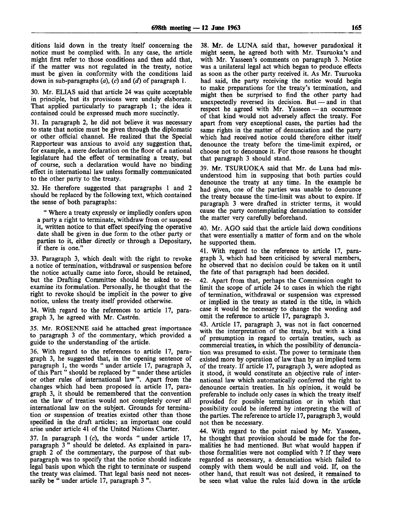ditions laid down in the treaty itself concerning the notice must be complied with. In any case, the article might first refer to those conditions and then add that, if the matter was not regulated in the treaty, notice must be given in conformity with the conditions laid down in sub-paragraphs *(a), (c)* and *(d)* of paragraph 1.

30. Mr. ELIAS said that article 24 was quite acceptable in principle, but its provisions were unduly elaborate. That applied particularly to paragraph 1; the idea it contained could be expressed much more succinctly.

31. In paragraph 2, he did not believe it was necessary to state that notice must be given through the diplomatic or other official channel. He realized that the Special Rapporteur was anxious to avoid any suggestion that, for example, a mere declaration on the floor of a national legislature had the effect of terminating a treaty, but of course, such a declaration would have no binding effect in international law unless formally communicated to the other party to the treaty.

32. He therefore suggested that paragraphs 1 and 2 should be replaced by the following text, which contained the sense of both paragraphs:

" Where a treaty expressly or impliedly confers upon a party a right to terminate, withdraw from or suspend it, written notice to that effect specifying the operative date shall be given in due form to the other party or parties to it, either directly or through a Depositary, if there is one."

33. Paragraph 3, which dealt with the right to revoke a notice of termination, withdrawal or suspension before the notice actually came into force, should be retained, but the Drafting Committee should be asked to reexamine its formulation. Personally, he thought that the right to revoke should be implicit in the power to give notice, unless the treaty itself provided otherwise.

34. With regard to the references to article 17, paragraph 3, he agreed with Mr. Castren.

35. Mr. ROSENNE said he attached great importance to paragraph 3 of the commentary, which provided a guide to the understanding of the article.

36. With regard to the references to article 17, paragraph 3, he suggested that, in the opening sentence of paragraph 1, the words " under article 17, paragraph 3, of this Part " should be replaced by " under these articles or other rules of international law ". Apart from the changes which had been proposed in article 17, paragraph 3, it should be remembered that the convention on the law of treaties would not completely cover all international law on the subject. Grounds for termination or suspension of treaties existed other than those specified in the draft articles; an important one could arise under article 41 of the United Nations Charter.

37. In paragraph 1 (c), the words " under article 17, paragraph 3" should be deleted. As explained in paragraph 2 of the commentary, the purpose of that subparagraph was to specify that the notice should indicate legal basis upon which the right to terminate or suspend the treaty was claimed. That legal basis need not necessarily be " under article 17, paragraph 3".

38. Mr. de LUNA said that, however paradoxical it might seem, he agreed both with Mr. Tsuruoka's and with Mr. Yasseen's comments on paragraph 3. Notice was a unilateral legal act which began to produce effects as soon as the other party received it. As Mr. Tsuruoka had said, the party receiving the notice would begin to make preparations for the treaty's termination, and might then be surprised to find the other party had unexpectedly reversed its decision. But — and in that respect he agreed with Mr. Yasseen — an occurrence of that kind would not adversely affect the treaty. For apart from very exceptional cases, the parties had the same rights in the matter of denunciation and the party which had received notice could therefore either itself denounce the treaty before the time-limit expired, or choose not to denounce it. For those reasons he thought that paragraph 3 should stand.

39. Mr. TSURUOKA said that Mr. de Luna had misunderstood him in supposing that both parties could denounce the treaty at any time. In the example he had given, one of the parties was unable to denounce the treaty because the time-limit was about to expire. If paragraph 3 were drafted in stricter terms, it would cause the party contemplating denunciation to consider the matter very carefully beforehand.

40. Mr. AGO said that the article laid down conditions that were essentially a matter of form and on the whole he supported them.

41. With regard to the reference to article 17, paragraph 3, which had been criticised by several members, he observed that no decision could be taken on it until the fate of that paragraph had been decided.

42. Apart from that, perhaps the Commission ought to limit the scope of article 24 to cases in which the right of termination, withdrawal or suspension was expressed or implied in the treaty as stated in the title, in which case it would be necessary to change the wording and omit the reference to article 17, paragraph 3.

43. Article 17, paragraph 3, was not in fact concerned with the interpretation of the treaty, but with a kind of presumption in regard to certain treaties, such as commercial treaties, in which the possibility of denunciation was presumed to exist. The power to terminate then existed more by operation of law than by an implied term of the treaty. If article 17, paragraph 3, were adopted as it stood, it would constitute an objective rule of international law which automatically conferred the right to denounce certain treaties. In his opinion, it would be preferable to include only cases in which the treaty itself provided for possible termination or in which that possibility could be inferred by interpreting the will of the parties. The reference to article 17, paragraph 3, would not then be necessary.

44. With regard to the point raised by Mr. Yasseen, he thought that provision should be made for the formalities he had mentioned. But what would happen if those formalities were not complied with ? If they were regarded as necessary, a denunciation which failed to comply with them would be null and void. If, on the other hand, that result was not desired, it remained to be seen what value the rules laid down in the article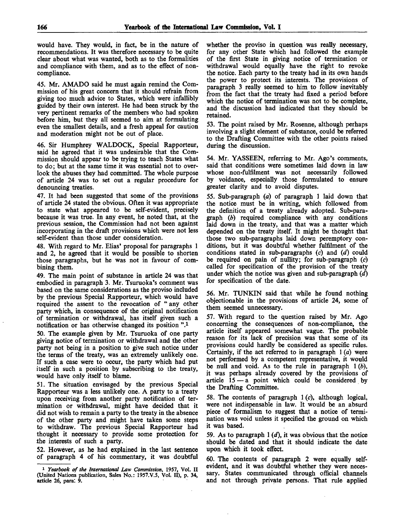would have. They would, in fact, be in the nature of recommendations. It was therefore necessary to be quite clear about what was wanted, both as to the formalities and compliance with them, and as to the effect of noncompliance.

45. Mr. AMADO said he must again remind the Commission of his great concern that it should refrain from giving too much advice to States, which were infallibly guided by their own interest. He had been struck by the very pertinent remarks of the members who had spoken before him, but they all seemed to aim at formulating even the smallest details, and a fresh appeal for caution and moderation might not be out of place.

46. Sir Humphrey WALDOCK, Special Rapporteur, said he agreed that it was undesirable that the Commission should appear to be trying to teach States what to do; but at the same time it was essential not to overlook the abuses they had committed. The whole purpose of article 24 was to set out a regular procedure for denouncing treaties.

47. It had been suggested that some of the provisions of article 24 stated the obvious. Often it was appropriate to state what appeared to be self-evident, precisely because it was true. In any event, he noted that, at the previous session, the Commission had not been against incorporating in the draft provisions which were not less self-evident than those under consideration.

48. With regard to Mr. Elias' proposal for paragraphs 1 and 2, he agreed that it would be possible to shorten those paragraphs, but he was not in favour of combining them.

49. The main point of substance in article 24 was that embodied in paragraph 3. Mr. Tsuraoka's comment was based on the same considerations as the proviso included by the previous Special Rapporteur, which would have required the assent to the revocation of " any other party which, in consequence of the original notification of termination or withdrawal, has itself given such a notification or has otherwise changed its position ".<sup>1</sup>

50. The example given by Mr. Tsuruoka of one party giving notice of termination or withdrawal and the other party not being in a position to give such notice under the terms of the treaty, was an extremely unlikely one. If such a case were to occur, the party which had put itself in such a position by subscribing to the treaty, would have only itself to blame.

51. The situation envisaged by the previous Special Rapporteur was a less unlikely one. A party to a treaty upon receiving from another party notification of termination or withdrawal, might have decided that it did not wish to remain a party to the treaty in the absence of the other party and might have taken some steps to withdraw. The previous Special Rapporteur had thought it necessary to provide some protection for the interests of such a party.

52. However, as he had explained in the last sentence of paragraph 4 of his commentary, it was doubtful

whether the proviso in question was really necessary, for any other State which had followed the example of the first State in giving notice of termination or withdrawal would equally have the right to revoke the notice. Each party to the treaty had in its own hands the power to protect its interests. The provisions of paragraph 3 really seemed to him to follow inevitably from the fact that the treaty had fixed a period before which the notice of termination was not to be complete, and the discussion had indicated that they should be retained.

53. The point raised by Mr. Rosenne, although perhaps involving a slight element of substance, could be referred to the Drafting Committee with the other points raised during the discussion.

54. Mr. YASSEEN, referring to Mr. Ago's comments, said that conditions were sometimes laid down in law whose non-fulfilment was not necessarily followed by voidance, especially those formulated to ensure greater clarity and to avoid disputes.

55. Sub-paragraph *(a)* of paragraph 1 laid down that the notice must be in writing, which followed from the definition of a treaty already adopted. Sub-paragraph *(b)* required compliance with any conditions laid down in the treaty, and that was a matter which depended on the treaty itself. It might be thought that those two sub-paragraphs laid down peremptory conditions, but it was doubtful whether fulfilment of the conditions stated in sub-paragraphs (c) and *(d)* could be required on pain of nullity; for sub-paragraph *(c)* called for specification of the provision of the treaty under which the notice was given and sub-paragraph *(d)* for specification of the date.

56. Mr. TUNKIN said that while he found nothing objectionable in the provisions of article 24, some of them seemed unnecessary.

57. With regard to the question raised by Mr. Ago concerning the consequences of non-compliance, the article itself appeared somewhat vague. The probable reason for its lack of precision was that some of its provisions could hardly be considered as specific rules. Certainly, if the act referred to in paragraph 1 *(a)* were not performed by a competent representative, it would be null and void. As to the rule in paragraph 1 *(b),* it was perhaps already covered by the provisions of article  $15 - a$  point which could be considered by the Drafting Committee.

58. The contents of paragraph  $1(c)$ , although logical, were not indispensable in law. It would be an absurd piece of formalism to suggest that a notice of termination was void unless it specified the ground on which it was based.

59. As to paragraph 1 *(d),* it was obvious that the notice should be dated and that it should indicate the date upon which it took effect.

60. The contents of paragraph 2 were equally selfevident, and it was doubtful whether they were necessary. States communicated through official channels and not through private persons. That rule applied

<sup>1</sup>  *Yearbook of the International Law Commission,* 1957, Vol. II (United Nations publication, Sales No.: 1957.V.5, Vol; II), p. 34, article 26, para: 9.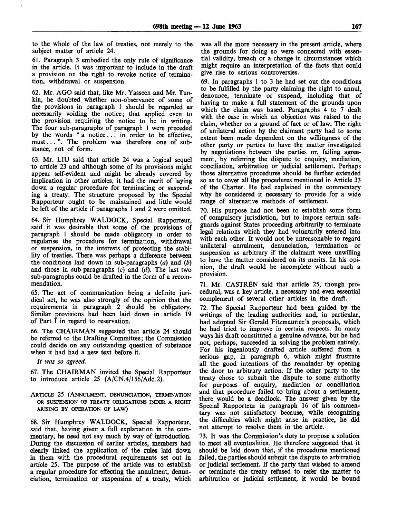to the whole of the law of treaties, not merely to the subject matter of article 24.

61. Paragraph 3 embodied the only rule of significance in the article. It was important to include in the draft a provision on the right to revoke notice of termination, withdrawal or suspension.

62. Mr. AGO said that, like Mr. Yasseen and Mr. Tunkin, he doubted whether non-observance of some of the provisions in paragraph 1 should be regarded as necessarily voiding the notice; that applied even to the provision requiring the notice to be in writing. The four sub-paragraphs of paragraph 1 were preceded by the words " a notice... in order to be effective, must... ". The problem was therefore one of substance, not of form.

63. Mr. LIU said that article 24 was a logical sequel to article 23 and although some of its provisions might appear self-evident and might be already covered by implication in other articles, it had the merit of laying down a regular procedure for terminating or suspending a treaty. The structure proposed by the Special Rapporteur ought to be maintained and little would be left of the article if paragraphs 1 and 2 were omitted.

64. Sir Humphrey WALDOCK, Special Rapporteur, said it was desirable that some of the provisions of paragraph 1 should be made obligatory in order to regularise the procedure for termination, withdrawal or suspension, in the interests of protecting the stability of treaties. There was perhaps a difference between the conditions laid down in sub-paragraphs *(a)* and *(b)* and those in sub-paragraphs (c) and *(d).* The last two sub-paragraphs could be drafted in the form of a recommendation.

65. The act of communication being a definite juridical act, he was also strongly of the opinion that the requirements in paragraph 2 should be obligatory. Similar provisions had been laid down in article 19 of Part I in regard to reservation.

66. The CHAIRMAN suggested that article 24 should be referred to the Drafting Committee; the Commission could decide on any outstanding question of substance when it had had a new text before it.

*It was so agreed.*

67. The CHAIRMAN invited the Special Rapporteur to introduce article 25 (A/CN.4/156/Add.2).

ARTICLE 25 (ANNULMENT, DENUNCIATION, TERMINATION OR SUSPENSION OF TREATY OBLIGATIONS INDER A RIGHT ARISING BY OPERATION OF LAW)

68. Sir Humphrey WALDOCK, Special Rapporteur, said that, having given a full explanation in the commentary, he need not say much by way of introduction. During the discussion of earlier articles, members had clearly linked the application of the rules laid down in them with the procedural requirements set out in article 25. The purpose of the article was to establish a regular procedure for effecting the annulment, denunciation, termination or suspension of a treaty, which was all the more necessary in the present article, where the grounds for doing so were connected with essential validity, breach or a change in circumstances which might require an interpretation of the facts that could give rise to serious controversies.

69. In paragraphs 1 to 3 he had set out the conditions to be fulfilled by the party claiming the right to annul, denounce, terminate or suspend, including that of having to make a full statement of the grounds upon which the claim was based. Paragraphs 4 to 7 dealt with the case in which an objection was raised to the claim, whether on a ground of fact or of law. The right of unilateral action by the claimant party had to some extent been made dependent on the willingness of the other party or parties to have the matter investigated by negotiations between the parties or, failing agreement, by referring the dispute to enquiry, mediation, conciliation, arbitration or judicial settlement. Perhaps those alternative procedures should be further extended so as to cover all the procedures mentioned in Article 33 of the Charter. He had explained in the commentary why he considered it necessary to provide for a wide range of alternative methods of settlement.

70. His purpose had not been to establish some form of compulsory jurisdiction, but to impose certain safeguards against States proceeding arbitrarily to terminate legal relations which they had voluntarily entered into with each other. It would not be unreasonable to regard unilateral annulment, denunciation, termination or suspension as arbitrary if the claimant were unwilling to have the matter considered on its merits. In his opinion, the draft would be incomplete without such a provision.

71. Mr. CASTRÉN said that article 25, though procedural, was a key article, a necessary and even essential complement of several other articles in the draft.

72. The Special Rapporteur had been guided by the writings of the leading authorities and, in particular, had adopted Sir Gerald Fitzmaurice's proposals, which he had tried to improve in certain respects. In many ways his draft constituted a genuine advance, but he had not, perhaps, succeeded in solving the problem entirely. For his ingeniously drafted article suffered from a serious gap, in paragraph 6, which might frustrate all the good intentions of the remainder by opening the door to arbitrary action. If the other party to the treaty chose to submit the dispute to some authority for purposes of enquiry, mediation or conciliation and that procedure failed to bring about a settlement, there would be a deadlock. The answer given by the Special Rapporteur in paragraph 16 of his commentary was not satisfactory because, while recognizing the difficulties which might arise in practice, he did not attempt to resolve them in the article.

73. It was the Commission's duty to propose a solution to meet all eventualities. He therefore suggested that it should be laid down that, if the procedures mentioned failed, the parties should submit the dispute to arbitration or judicial settlement. If the party that wished to amend or terminate the treaty refused to refer the matter to arbitration or judicial settlement, it would be bound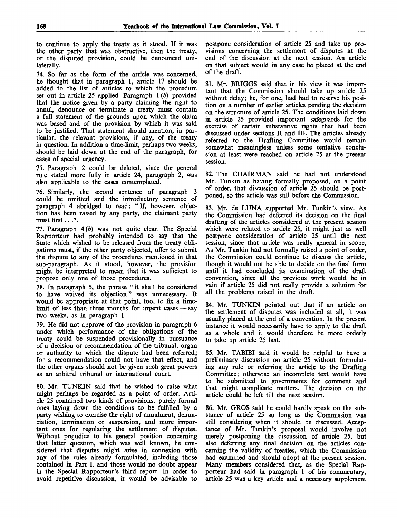to continue to apply the treaty as it stood. If it was the other party that was obstructive, then the treaty, or the disputed provision, could be denounced unilaterally.

74. So far as the form of the article was concerned, he thought that in paragraph 1, article 17 should be added to the list of articles to which the procedure set out in article 25 applied. Paragraph 1 *(b)* provided that the notice given by a party claiming the right to annul, denounce or terminate a treaty must contain a full statement of the grounds upon which the claim was based and of the provision by which it was said to be justified. That statement should mention, in particular, the relevant provisions, if any, of the treaty in question. In addition a time-limit, perhaps two weeks, should be laid down at the end of the paragraph, for cases of special urgency.

75. Paragraph 2 could be deleted, since the general rule stated more fully in article 24, paragraph 2, was also applicable to the cases contemplated.

76. Similarly, the second sentence of paragraph 3 could be omitted and the introductory sentence of paragraph 4 abridged to read: " If, however, objection has been raised by any party, the claimant party must first...".

77. Paragraph *4(b)* was not quite clear. The Special Rapporteur had probably intended to say that the State which wished to be released from the treaty obligations must, if the other party objected, offer to submit the dispute to any of the procedures mentioned in that sub-paragraph. As it stood, however, the provision might be interpreted to mean that it was sufficient to propose only one of those procedures.

78. In paragraph 5, the phrase " it shall be considered to have waived its objection" was unnecessary. It would be appropriate at that point, too, to fix a timelimit of less than three months for urgent cases — say two weeks, as in paragraph 1.

79. He did not approve of the provision in paragraph 6 under which performance of the obligations of the treaty could be suspended provisionally in pursuance of a decision or recommendation of the tribunal, organ or authority to which the dispute had been referred; for a recommendation could not have that effect, and the other organs should not be given such great powers as an arbitral tribunal or international court.

80. Mr. TUNKIN said that he wished to raise what might perhaps be regarded as a point of order. Article 25 contained two kinds of provisions: purely formal ones laying down the conditions to be fulfilled by a party wishing to exercise the right of annulment, denunciation, termination or suspension, and more important ones for regulating the settlement of disputes. Without prejudice to his general position concerning that latter question, which was well known, he considered that disputes might arise in connexion with any of the rules already formulated, including those contained in Part I, and those would no doubt appear in the Special Rapporteur's third report. In order to avoid repetitive discussion, it would be advisable to

postpone consideration of article 25 and take up provisions concerning the settlement of disputes at the end of the discussion at the next session. An article on that subject would in any case be placed at the end of the draft.

81. Mr. BRIGGS said that in his view it was important that the Commission should take up article 25 without delay; he, for one, had had to reserve his position on a number of earlier articles pending the decision on the structure of article 25. The conditions laid down in article 25 provided important safeguards for the exercise of certain substantive rights that had been discussed under sections II and III. The articles already referred to the Drafting Committee would remain somewhat meaningless unless some tentative conclusion at least were reached on article 25 at the present session.

82. The CHAIRMAN said he had not understood Mr. Tunkin as having formally proposed, on a point of order, that discussion of article 25 should be postponed, so the article was still before the Commission.

83. Mr. de LUNA supported Mr. Tunkin's view. As the Commission had deferred its decision on the final drafting of the articles considered at the present session which were related to article 25, it might just as well postpone consideration of article 25 until the next session, since that article was really general in scope, As Mr. Tunkin had not formally raised a point of order, the Commission could continue to discuss the article, though it would not be able to decide on the final form until it had concluded its examination of the draft convention, since all the previous work would be in vain if article 25 did not really provide a solution for all the problems raised in the draft.

84. Mr. TUNKIN pointed out that if an article on the settlement of disputes was included at all, it was usually placed at the end of a convention. In the present instance it would necessarily have to apply to the draft as a whole and it would therefore be more orderly to take up article 25 last.

85. Mr. TABIBI said it would be helpful to have a preliminary discussion on article 25 without formulating any rule or referring the article to the Drafting Committee; otherwise an incomplete text would have to be submitted to governments for comment and that might complicate matters. The decision on the article could be left till the next session.

86. Mr. GROS said he could hardly speak on the substance of article 25 so long as the Commission was still considering when it should be discussed. Acceptance of Mr. Tunkin's proposal would involve not merely postponing the discussion of article 25, but also deferring any final decision on the articles concerning the validity of treaties, which the Commission had examined and should adopt at the present session. Many members considered that, as the Special Rapporteur had said in paragraph 1 of his commentary, article 25 was a key article and a necessary supplement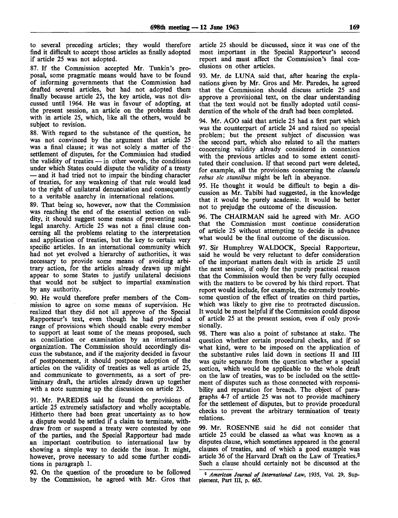to several preceding articles; they would therefore find it difficult to accept those articles as finally adopted if article 25 was not adopted.

87. If the Commission accepted Mr. Tunkin's proposal, some pragmatic means would have to be found of informing governments that the Commission had drafted several articles, but had not adopted them finally because article 25, the key article, was not discussed until 1964. He was in favour of adopting, at the present session, an article on the problems dealt with in article 25, which, like all the others, would be subject to revision.

88. With regard to the substance of the question, he was not convinced by the argument that article 25 was a final clause; it was not solely a matter of the settlement of disputes, for the Commission had studied the validity of treaties — in other words, the conditions under which States could dispute the validity of a treaty — and it had tried not to impair the binding character of treaties, for any weakening of that rule would lead to the right of unilateral denunciation and consequently to a veritable anarchy in international relations.

89. That being so, however, now that the Commission was reaching the end of the essential section on validity, it should suggest some means of preventing such legal anarchy. Article 25 was not a final clause concerning all the problems relating to the interpretation and application of treaties, but the key to certain very specific articles. In an international community which had not yet evolved a hierarchy of authorities, it was necessary to provide some means of avoiding arbitrary action, for the articles already drawn up might appear to some States to justify unilateral decisions that would not be subject to impartial examination by any authority.

90. He would therefore prefer members of the Commission to agree on some means of supervision. He realized that they did not all approve of the Special Rapporteur's text, even though he had provided a range of provisions which should enable every member to support at least some of the means proposed, such as conciliation or examination by an international organization. The Commission should accordingly discuss the substance, and if the majority decided in favour of postponement, it should postpone adoption of the articles on the validity of treaties as well as article 25, and communicate to governments, as a sort of preliminary draft, the articles already drawn up together with a note summing up the discussion on article 25.

91. Mr. PAREDES said he found the provisions of article 25 extremely satisfactory and wholly acceptable. Hitherto there had been great uncertainty as to how a dispute would be settled if a claim to terminate, withdraw from or suspend a treaty were contested by one of the parties, and the Special Rapporteur had made an important contribution to international law by showing a simple way to decide the issue. It might, however, prove necessary to add some further conditions in paragraph 1.

92. On the question of the procedure to be followed by the Commission, he agreed with Mr. Gros that article 25 should be discussed, since it was one of the most important in the Special Rapporteur's second report and must affect the Commission's final conclusions on other articles.

93. Mr. de LUNA said that, after hearing the explanations given by Mr. Gros and Mr. Paredes, he agreed that the Commission should discuss article 25 and approve a provisional text, on the clear understanding that the text would not be finally adopted until consideration of the whole of the draft had been completed.

94. Mr. AGO said that article 25 had a first part which was the counterpart of article 24 and raised no special problem; but the present subject of discussion was the second part, which also related to all the matters concerning validity already considered in connexion with the previous articles and to some extent constituted their conclusion. If that second part were deleted, for example, all the provisions concerning the *clausula rebus sic stantibus* might be left in abeyance.

95. He thought it would be difficult to begin a discussion as Mr. Tabibi had suggested, in the knowledge that it would be purely academic. It would be better not to prejudge the outcome of the discussion.

96. The CHAIRMAN said he agreed with Mr. AGO that the Commission must continue consideration of article 25 without attempting to decide in advance what would be the final outcome of the discussion.

97. Sir Humphrey WALDOCK, Special Rapporteur, said he would be very reluctant to defer consideration of the important matters dealt with in article 25 until the next session, if only for the purely practical reason that the Commission would then be very fully occupied with the matters to be covered by his third report. That report would include, for example, the extremely troublesome question of the effect of treaties on third parties, which was likely to give rise to protracted discussion. It would be most helpful if the Commission could dispose of article 25 at the present session, even if only provisionally.

98. There was also a point of substance at stake. The question whether certain procedural checks, and if so what kind, were to be imposed on the application of the substantive rules laid down in sections II and III was quite separate from the question whether a special section, which would be applicable to the whole draft on the law of treaties, was to be included on the settlement of disputes such as those connected with responsibility and reparation for breach. The object of paragraphs 4-7 of article 25 was not to provide machinery for the settlement of disputes, but to provide procedural checks to prevent the arbitrary termination of treaty relations.

99. Mr. ROSENNE said he did not consider that article 25 could be classed as what was known as a disputes clause, which sometimes appeared in the general clauses of treaties, and of which a good example was article 36 of the Harvard Draft on the Law of Treaties.<sup>2</sup> Such a clause should certainly not be discussed at the

**<sup>2</sup>**  *American Journal of International Law,* **1935, Vol. 29, Supplement,** Part III, p. 665.